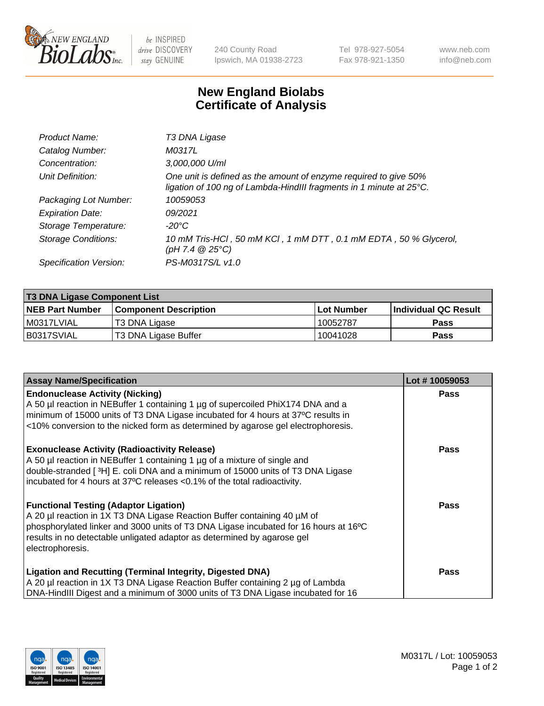

 $be$  INSPIRED drive DISCOVERY stay GENUINE

240 County Road Ipswich, MA 01938-2723 Tel 978-927-5054 Fax 978-921-1350 www.neb.com info@neb.com

## **New England Biolabs Certificate of Analysis**

| Product Name:              | T3 DNA Ligase                                                                                                                           |
|----------------------------|-----------------------------------------------------------------------------------------------------------------------------------------|
| Catalog Number:            | M0317L                                                                                                                                  |
| Concentration:             | 3,000,000 U/ml                                                                                                                          |
| Unit Definition:           | One unit is defined as the amount of enzyme required to give 50%<br>ligation of 100 ng of Lambda-HindIII fragments in 1 minute at 25°C. |
| Packaging Lot Number:      | 10059053                                                                                                                                |
| <b>Expiration Date:</b>    | 09/2021                                                                                                                                 |
| Storage Temperature:       | -20°C                                                                                                                                   |
| <b>Storage Conditions:</b> | 10 mM Tris-HCI, 50 mM KCI, 1 mM DTT, 0.1 mM EDTA, 50 % Glycerol,<br>(pH 7.4 $@25°C$ )                                                   |
| Specification Version:     | PS-M0317S/L v1.0                                                                                                                        |

| <b>T3 DNA Ligase Component List</b> |                        |                   |                      |  |  |
|-------------------------------------|------------------------|-------------------|----------------------|--|--|
| <b>NEB Part Number</b>              | Component Description_ | <b>Lot Number</b> | Individual QC Result |  |  |
| I M0317LVIAL                        | T3 DNA Ligase          | 10052787          | <b>Pass</b>          |  |  |
| B0317SVIAL                          | T3 DNA Ligase Buffer   | 10041028          | <b>Pass</b>          |  |  |

| <b>Assay Name/Specification</b>                                                                                                                            | Lot #10059053 |
|------------------------------------------------------------------------------------------------------------------------------------------------------------|---------------|
| <b>Endonuclease Activity (Nicking)</b><br>A 50 µl reaction in NEBuffer 1 containing 1 µg of supercoiled PhiX174 DNA and a                                  | Pass          |
| minimum of 15000 units of T3 DNA Ligase incubated for 4 hours at 37°C results in                                                                           |               |
| <10% conversion to the nicked form as determined by agarose gel electrophoresis.                                                                           |               |
| <b>Exonuclease Activity (Radioactivity Release)</b>                                                                                                        | Pass          |
| A 50 µl reaction in NEBuffer 1 containing 1 µg of a mixture of single and                                                                                  |               |
| double-stranded [3H] E. coli DNA and a minimum of 15000 units of T3 DNA Ligase<br>incubated for 4 hours at 37°C releases <0.1% of the total radioactivity. |               |
|                                                                                                                                                            |               |
| <b>Functional Testing (Adaptor Ligation)</b>                                                                                                               | Pass          |
| A 20 µl reaction in 1X T3 DNA Ligase Reaction Buffer containing 40 µM of                                                                                   |               |
| phosphorylated linker and 3000 units of T3 DNA Ligase incubated for 16 hours at 16°C                                                                       |               |
| results in no detectable unligated adaptor as determined by agarose gel<br>electrophoresis.                                                                |               |
|                                                                                                                                                            |               |
| <b>Ligation and Recutting (Terminal Integrity, Digested DNA)</b>                                                                                           | Pass          |
| A 20 µl reaction in 1X T3 DNA Ligase Reaction Buffer containing 2 µg of Lambda                                                                             |               |
| DNA-HindIII Digest and a minimum of 3000 units of T3 DNA Ligase incubated for 16                                                                           |               |